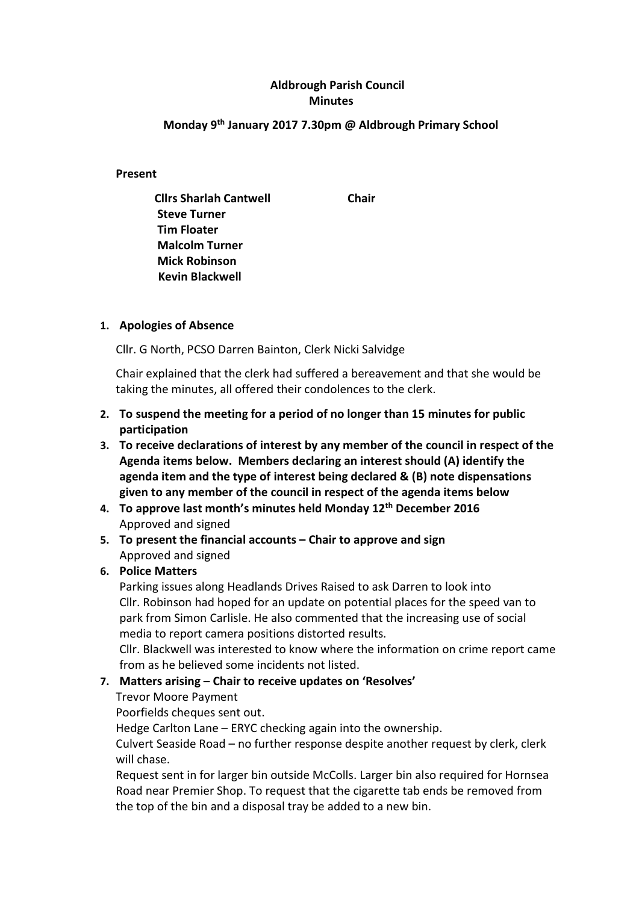## Aldbrough Parish Council Minutes

## Monday 9th January 2017 7.30pm @ Aldbrough Primary School

#### Present

Cllrs Sharlah Cantwell Chair Steve Turner Tim Floater Malcolm Turner Mick Robinson Kevin Blackwell

#### 1. Apologies of Absence

Cllr. G North, PCSO Darren Bainton, Clerk Nicki Salvidge

Chair explained that the clerk had suffered a bereavement and that she would be taking the minutes, all offered their condolences to the clerk.

- 2. To suspend the meeting for a period of no longer than 15 minutes for public participation
- 3. To receive declarations of interest by any member of the council in respect of the Agenda items below. Members declaring an interest should (A) identify the agenda item and the type of interest being declared & (B) note dispensations given to any member of the council in respect of the agenda items below
- 4. To approve last month's minutes held Monday 12<sup>th</sup> December 2016 Approved and signed
- 5. To present the financial accounts Chair to approve and sign Approved and signed
- 6. Police Matters

Parking issues along Headlands Drives Raised to ask Darren to look into Cllr. Robinson had hoped for an update on potential places for the speed van to park from Simon Carlisle. He also commented that the increasing use of social media to report camera positions distorted results.

Cllr. Blackwell was interested to know where the information on crime report came from as he believed some incidents not listed.

## 7. Matters arising – Chair to receive updates on 'Resolves'

#### Trevor Moore Payment

Poorfields cheques sent out.

Hedge Carlton Lane – ERYC checking again into the ownership.

Culvert Seaside Road – no further response despite another request by clerk, clerk will chase.

Request sent in for larger bin outside McColls. Larger bin also required for Hornsea Road near Premier Shop. To request that the cigarette tab ends be removed from the top of the bin and a disposal tray be added to a new bin.